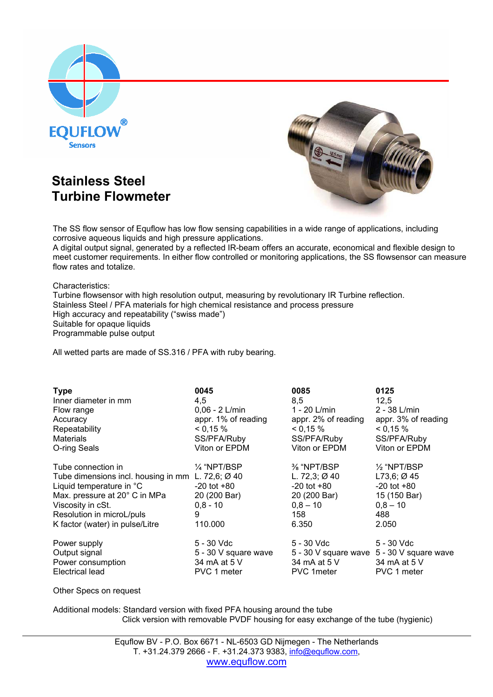

## **Turbine Flowmeter Stainless Steel**



The SS flow sensor of Equflow has low flow sensing capabilities in a wide range of applications, including corrosive aqueous liquids and high pressure applications.

A digital output signal, generated by a reflected IR-beam offers an accurate, economical and flexible design to meet customer requirements. In either flow controlled or monitoring applications, the SS flowsensor can measure flow rates and totalize.

Characteristics:

Turbine flowsensor with high resolution output, measuring by revolutionary IR Turbine reflection. Stainless Steel / PFA materials for high chemical resistance and process pressure High accuracy and repeatability ("swiss made") Suitable for opaque liquids Programmable pulse output

All wetted parts are made of SS.316 / PFA with ruby bearing.

| <b>Type</b><br>Inner diameter in mm<br>Flow range<br>Accuracy<br>Repeatability<br><b>Materials</b><br>O-ring Seals                                                                                                        | 0045<br>4,5<br>$0.06 - 2$ L/min<br>appr. 1% of reading<br>0,15%<br>SS/PFA/Ruby<br>Viton or EPDM | 0085<br>8,5<br>1 - 20 L/min<br>appr. 2% of reading<br>0,15%<br>SS/PFA/Ruby<br>Viton or EPDM              | 0125<br>12,5<br>$2 - 38$ L/min<br>appr. 3% of reading<br>< 0.15 %<br>SS/PFA/Ruby<br>Viton or EPDM        |
|---------------------------------------------------------------------------------------------------------------------------------------------------------------------------------------------------------------------------|-------------------------------------------------------------------------------------------------|----------------------------------------------------------------------------------------------------------|----------------------------------------------------------------------------------------------------------|
| Tube connection in<br>Tube dimensions incl. housing in mm L. 72,6; Ø 40<br>Liquid temperature in °C<br>Max. pressure at 20° C in MPa<br>Viscosity in cSt.<br>Resolution in microL/puls<br>K factor (water) in pulse/Litre | $\frac{1}{4}$ "NPT/BSP<br>$-20$ tot $+80$<br>20 (200 Bar)<br>$0.8 - 10$<br>9<br>110,000         | % "NPT/BSP<br>L. 72,3; $\varnothing$ 40<br>$-20$ tot $+80$<br>20 (200 Bar)<br>$0.8 - 10$<br>158<br>6.350 | $\frac{1}{2}$ "NPT/BSP<br>$L73,6;$ Ø 45<br>$-20$ tot $+80$<br>15 (150 Bar)<br>$0.8 - 10$<br>488<br>2.050 |
| Power supply<br>Output signal<br>Power consumption<br>Electrical lead                                                                                                                                                     | 5 - 30 Vdc<br>5 - 30 V square wave<br>34 mA at 5 V<br>PVC 1 meter                               | 5 - 30 Vdc<br>5 - 30 V square wave 5 - 30 V square wave<br>34 mA at 5 V<br>PVC 1meter                    | 5 - 30 Vdc<br>34 mA at 5 V<br>PVC 1 meter                                                                |

Other Specs on request

Additional models: Standard version with fixed PFA housing around the tube Click version with removable PVDF housing for easy exchange of the tube (hygienic)